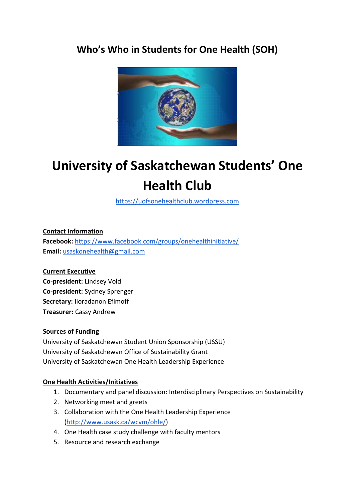# **Who's Who in Students for One Health (SOH)**



# **University of Saskatchewan Students' One Health Club**

[https://uofsonehealthclub.wordpress.com](https://uofsonehealthclub.wordpress.com/)

**Contact Information Facebook:** <https://www.facebook.com/groups/onehealthinitiative/> **Email:** [usaskonehealth@gmail.com](mailto:usaskonehealth@gmail.com)

# **Current Executive**

**Co-president:** Lindsey Vold **Co-president:** Sydney Sprenger **Secretary:** Iloradanon Efimoff **Treasurer:** Cassy Andrew

#### **Sources of Funding**

University of Saskatchewan Student Union Sponsorship (USSU) University of Saskatchewan Office of Sustainability Grant University of Saskatchewan One Health Leadership Experience

# **One Health Activities/Initiatives**

- 1. Documentary and panel discussion: Interdisciplinary Perspectives on Sustainability
- 2. Networking meet and greets
- 3. Collaboration with the One Health Leadership Experience [\(http://www.usask.ca/wcvm/ohle/\)](http://www.usask.ca/wcvm/ohle/)
- 4. One Health case study challenge with faculty mentors
- 5. Resource and research exchange